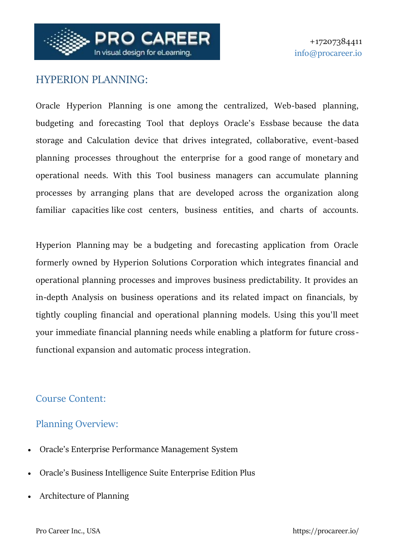

# HYPERION PLANNING:

Oracle Hyperion Planning is one among the centralized, Web-based planning, budgeting and forecasting Tool that deploys Oracle's Essbase because the data storage and Calculation device that drives integrated, collaborative, event-based planning processes throughout the enterprise for a good range of monetary and operational needs. With this Tool business managers can accumulate planning processes by arranging plans that are developed across the organization along familiar capacities like cost centers, business entities, and charts of accounts.

Hyperion Planning may be a budgeting and forecasting application from Oracle formerly owned by Hyperion Solutions Corporation which integrates financial and operational planning processes and improves business predictability. It provides an in-depth Analysis on business operations and its related impact on financials, by tightly coupling financial and operational planning models. Using this you'll meet your immediate financial planning needs while enabling a platform for future crossfunctional expansion and automatic process integration.

#### Course Content:

## Planning Overview:

- Oracle's Enterprise Performance Management System
- Oracle's Business Intelligence Suite Enterprise Edition Plus
- Architecture of Planning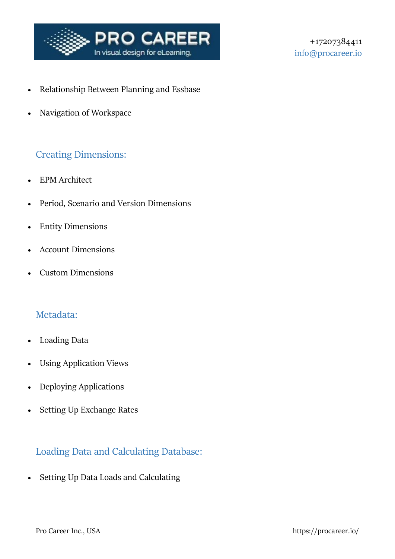

- Relationship Between Planning and Essbase
- Navigation of Workspace

#### Creating Dimensions:

- EPM Architect
- Period, Scenario and Version Dimensions
- Entity Dimensions
- Account Dimensions
- Custom Dimensions

#### Metadata:

- Loading Data
- Using Application Views
- Deploying Applications
- Setting Up Exchange Rates

## Loading Data and Calculating Database:

• Setting Up Data Loads and Calculating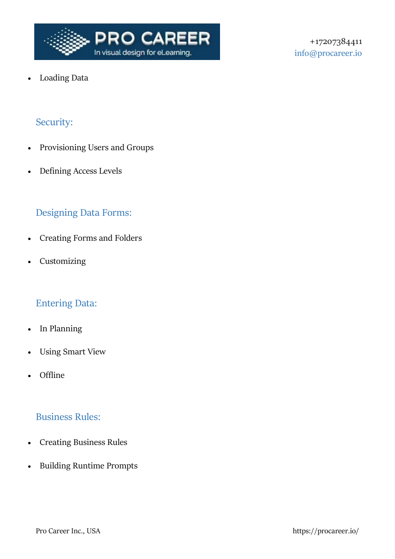

+17207384411 info@procareer.io

Loading Data

# Security:

- Provisioning Users and Groups
- Defining Access Levels

#### Designing Data Forms:

- Creating Forms and Folders
- Customizing

#### Entering Data:

- In Planning
- Using Smart View
- Offline

#### Business Rules:

- Creating Business Rules
- Building Runtime Prompts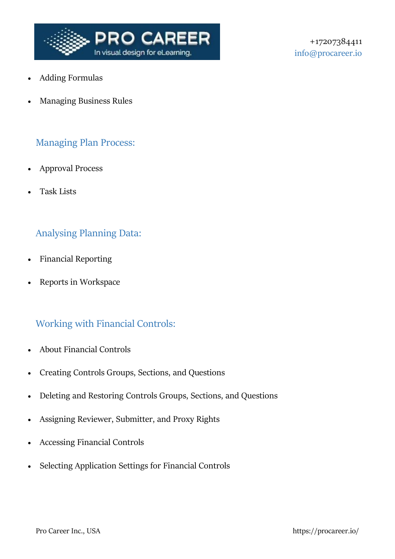

- Adding Formulas
- Managing Business Rules

#### Managing Plan Process:

- Approval Process
- Task Lists

## Analysing Planning Data:

- Financial Reporting
- Reports in Workspace

## Working with Financial Controls:

- About Financial Controls
- Creating Controls Groups, Sections, and Questions
- Deleting and Restoring Controls Groups, Sections, and Questions
- Assigning Reviewer, Submitter, and Proxy Rights
- Accessing Financial Controls
- Selecting Application Settings for Financial Controls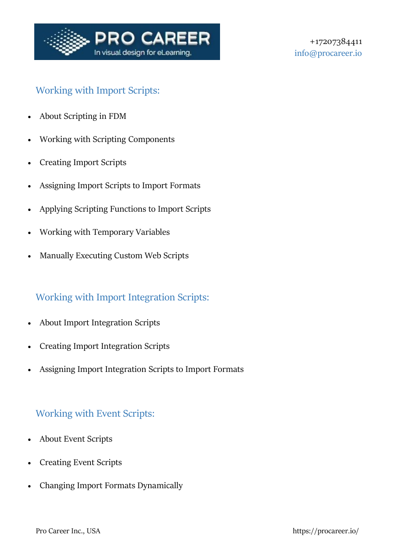

## Working with Import Scripts:

- About Scripting in FDM
- Working with Scripting Components
- Creating Import Scripts
- Assigning Import Scripts to Import Formats
- Applying Scripting Functions to Import Scripts
- Working with Temporary Variables
- Manually Executing Custom Web Scripts

# Working with Import Integration Scripts:

- About Import Integration Scripts
- Creating Import Integration Scripts
- Assigning Import Integration Scripts to Import Formats

## Working with Event Scripts:

- About Event Scripts
- Creating Event Scripts
- Changing Import Formats Dynamically